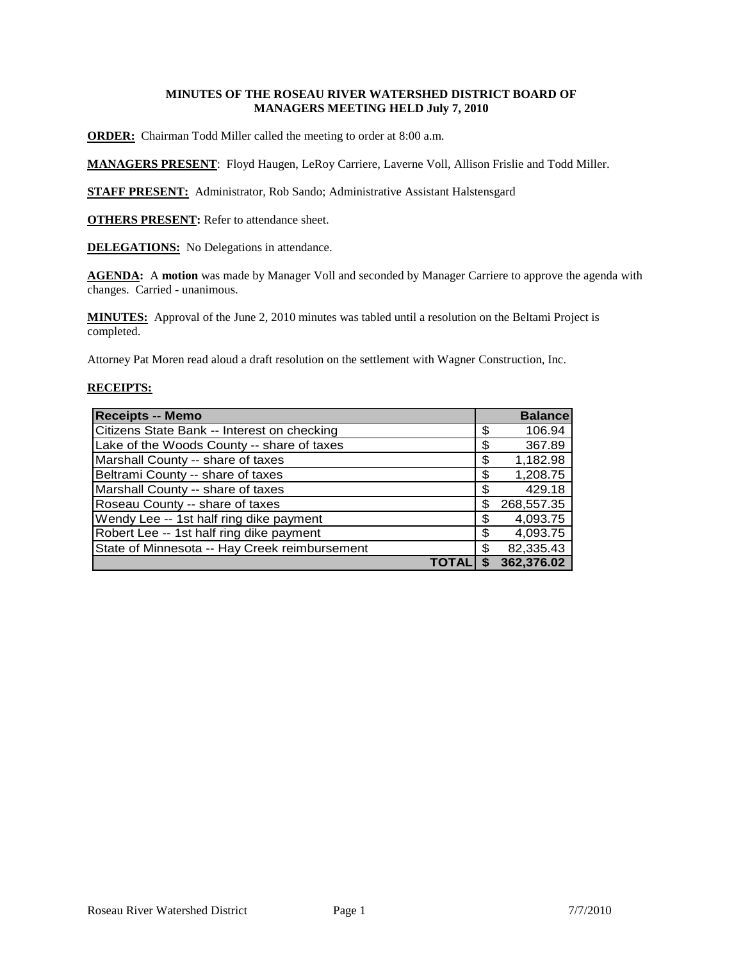# **MINUTES OF THE ROSEAU RIVER WATERSHED DISTRICT BOARD OF MANAGERS MEETING HELD July 7, 2010**

**ORDER:** Chairman Todd Miller called the meeting to order at 8:00 a.m.

**MANAGERS PRESENT**: Floyd Haugen, LeRoy Carriere, Laverne Voll, Allison Frislie and Todd Miller.

**STAFF PRESENT:** Administrator, Rob Sando; Administrative Assistant Halstensgard

**OTHERS PRESENT:** Refer to attendance sheet.

**DELEGATIONS:** No Delegations in attendance.

AGENDA: A motion was made by Manager Voll and seconded by Manager Carriere to approve the agenda with changes. Carried - unanimous.

**MINUTES:** Approval of the June 2, 2010 minutes was tabled until a resolution on the Beltami Project is completed.

Attorney Pat Moren read aloud a draft resolution on the settlement with Wagner Construction, Inc.

# **RECEIPTS:**

| <b>Receipts -- Memo</b>                       |    | <b>Balance</b> |
|-----------------------------------------------|----|----------------|
| Citizens State Bank -- Interest on checking   | \$ | 106.94         |
| Lake of the Woods County -- share of taxes    | S  | 367.89         |
| Marshall County -- share of taxes             | \$ | 1,182.98       |
| Beltrami County -- share of taxes             | \$ | 1,208.75       |
| Marshall County -- share of taxes             | S  | 429.18         |
| Roseau County -- share of taxes               | \$ | 268,557.35     |
| Wendy Lee -- 1st half ring dike payment       | \$ | 4,093.75       |
| Robert Lee -- 1st half ring dike payment      | \$ | 4,093.75       |
| State of Minnesota -- Hay Creek reimbursement | \$ | 82,335.43      |
|                                               |    | 362,376.02     |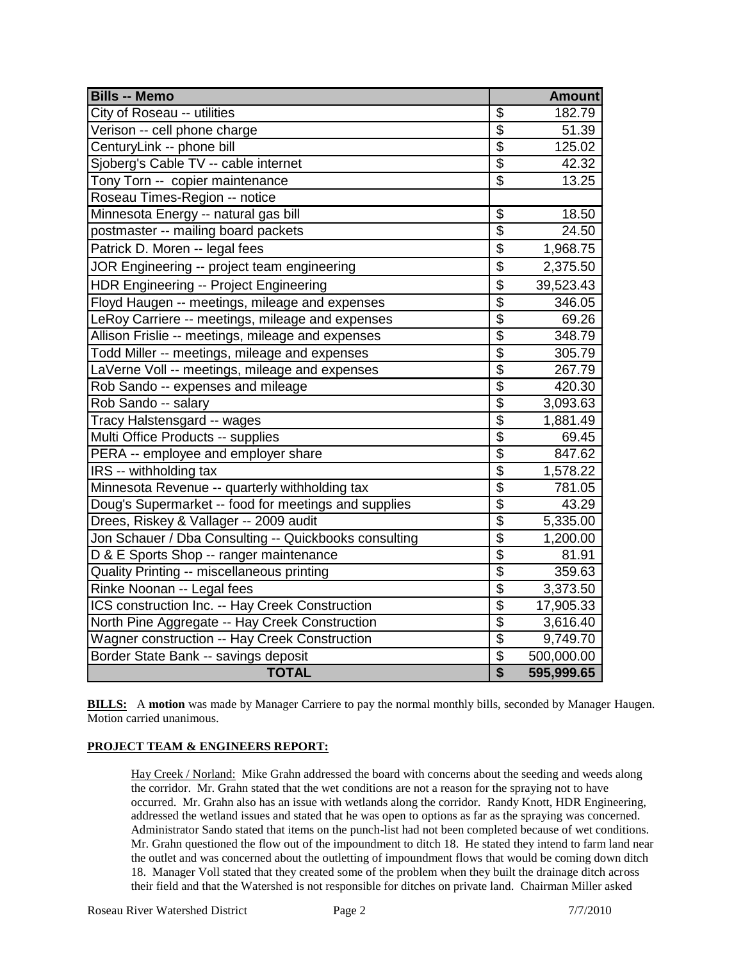| <b>Bills -- Memo</b>                                  |                          | <b>Amount</b> |
|-------------------------------------------------------|--------------------------|---------------|
| City of Roseau -- utilities                           | \$                       | 182.79        |
| Verison -- cell phone charge                          | $\overline{\mathcal{S}}$ | 51.39         |
| CenturyLink -- phone bill                             | \$                       | 125.02        |
| Sjoberg's Cable TV -- cable internet                  | $\overline{\mathbb{S}}$  | 42.32         |
| Tony Torn -- copier maintenance                       | $\overline{\mathcal{S}}$ | 13.25         |
| Roseau Times-Region -- notice                         |                          |               |
| Minnesota Energy -- natural gas bill                  | \$                       | 18.50         |
| postmaster -- mailing board packets                   | $\overline{\$}$          | 24.50         |
| Patrick D. Moren -- legal fees                        | \$                       | 1,968.75      |
| JOR Engineering -- project team engineering           | \$                       | 2,375.50      |
| <b>HDR Engineering -- Project Engineering</b>         | \$                       | 39,523.43     |
| Floyd Haugen -- meetings, mileage and expenses        | $\overline{\$}$          | 346.05        |
| LeRoy Carriere -- meetings, mileage and expenses      | $\overline{\$}$          | 69.26         |
| Allison Frislie -- meetings, mileage and expenses     | \$                       | 348.79        |
| Todd Miller -- meetings, mileage and expenses         | $\overline{\mathbf{S}}$  | 305.79        |
| LaVerne Voll -- meetings, mileage and expenses        | $\overline{\$}$          | 267.79        |
| Rob Sando -- expenses and mileage                     | $\overline{\mathcal{S}}$ | 420.30        |
| Rob Sando -- salary                                   | $\overline{\mathcal{S}}$ | 3,093.63      |
| Tracy Halstensgard -- wages                           | $\overline{\$}$          | 1,881.49      |
| Multi Office Products -- supplies                     | $\overline{\$}$          | 69.45         |
| PERA -- employee and employer share                   | $\overline{\$}$          | 847.62        |
| IRS -- withholding tax                                | $\overline{\mathbf{S}}$  | 1,578.22      |
| Minnesota Revenue -- quarterly withholding tax        | \$                       | 781.05        |
| Doug's Supermarket -- food for meetings and supplies  | \$                       | 43.29         |
| Drees, Riskey & Vallager -- 2009 audit                | $\overline{\mathcal{S}}$ | 5,335.00      |
| Jon Schauer / Dba Consulting -- Quickbooks consulting | $\overline{\$}$          | 1,200.00      |
| D & E Sports Shop -- ranger maintenance               | $\overline{\$}$          | 81.91         |
| Quality Printing -- miscellaneous printing            | $\overline{\$}$          | 359.63        |
| Rinke Noonan -- Legal fees                            | $\overline{\$}$          | 3,373.50      |
| ICS construction Inc. -- Hay Creek Construction       | $\overline{\$}$          | 17,905.33     |
| North Pine Aggregate -- Hay Creek Construction        | $\overline{\$}$          | 3,616.40      |
| Wagner construction -- Hay Creek Construction         | $\overline{\mathcal{S}}$ | 9,749.70      |
| Border State Bank -- savings deposit                  | \$                       | 500,000.00    |
| <b>TOTAL</b>                                          | $\overline{\mathbf{S}}$  | 595,999.65    |

**BILLS:** A motion was made by Manager Carriere to pay the normal monthly bills, seconded by Manager Haugen. Motion carried unanimous.

### **PROJECT TEAM & ENGINEERS REPORT:**

Hay Creek / Norland: Mike Grahn addressed the board with concerns about the seeding and weeds along the corridor. Mr. Grahn stated that the wet conditions are not a reason for the spraying not to have occurred. Mr. Grahn also has an issue with wetlands along the corridor. Randy Knott, HDR Engineering, addressed the wetland issues and stated that he was open to options as far as the spraying was concerned. Administrator Sando stated that items on the punch-list had not been completed because of wet conditions. Mr. Grahn questioned the flow out of the impoundment to ditch 18. He stated they intend to farm land near the outlet and was concerned about the outletting of impoundment flows that would be coming down ditch 18. Manager Voll stated that they created some of the problem when they built the drainage ditch across their field and that the Watershed is not responsible for ditches on private land. Chairman Miller asked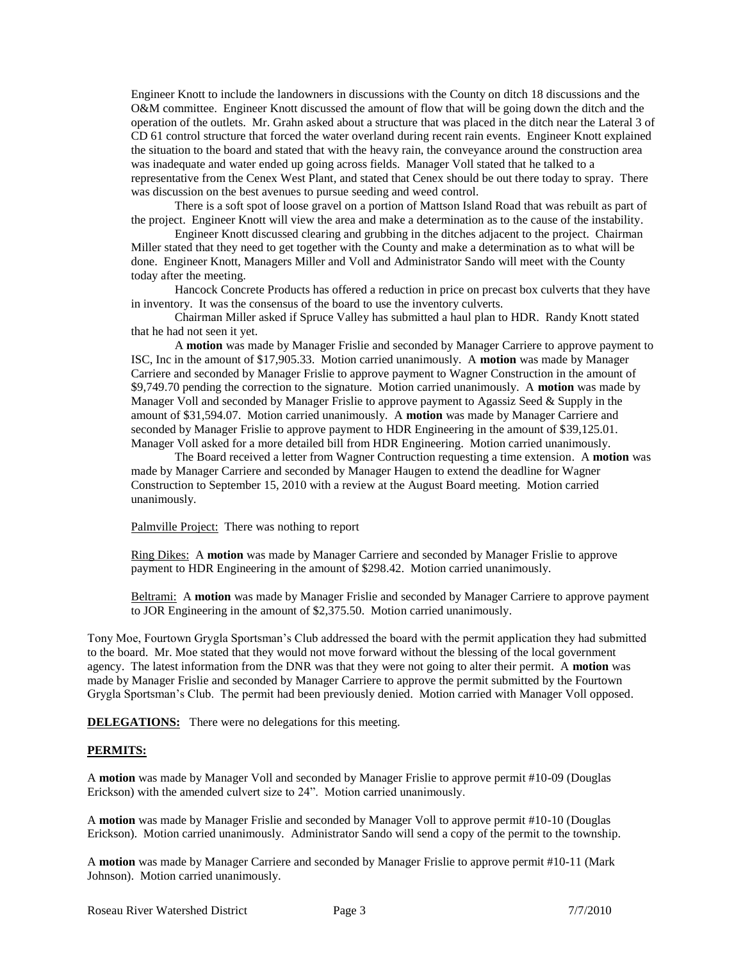Engineer Knott to include the landowners in discussions with the County on ditch 18 discussions and the O&M committee. Engineer Knott discussed the amount of flow that will be going down the ditch and the operation of the outlets. Mr. Grahn asked about a structure that was placed in the ditch near the Lateral 3 of CD 61 control structure that forced the water overland during recent rain events. Engineer Knott explained the situation to the board and stated that with the heavy rain, the conveyance around the construction area was inadequate and water ended up going across fields. Manager Voll stated that he talked to a representative from the Cenex West Plant, and stated that Cenex should be out there today to spray. There was discussion on the best avenues to pursue seeding and weed control.

There is a soft spot of loose gravel on a portion of Mattson Island Road that was rebuilt as part of the project. Engineer Knott will view the area and make a determination as to the cause of the instability.

Engineer Knott discussed clearing and grubbing in the ditches adjacent to the project. Chairman Miller stated that they need to get together with the County and make a determination as to what will be done. Engineer Knott, Managers Miller and Voll and Administrator Sando will meet with the County today after the meeting.

Hancock Concrete Products has offered a reduction in price on precast box culverts that they have in inventory. It was the consensus of the board to use the inventory culverts.

Chairman Miller asked if Spruce Valley has submitted a haul plan to HDR. Randy Knott stated that he had not seen it yet.

A **motion** was made by Manager Frislie and seconded by Manager Carriere to approve payment to ISC, Inc in the amount of \$17,905.33. Motion carried unanimously. A **motion** was made by Manager Carriere and seconded by Manager Frislie to approve payment to Wagner Construction in the amount of \$9,749.70 pending the correction to the signature. Motion carried unanimously. A **motion** was made by Manager Voll and seconded by Manager Frislie to approve payment to Agassiz Seed & Supply in the amount of \$31,594.07. Motion carried unanimously. A **motion** was made by Manager Carriere and seconded by Manager Frislie to approve payment to HDR Engineering in the amount of \$39,125.01. Manager Voll asked for a more detailed bill from HDR Engineering. Motion carried unanimously.

The Board received a letter from Wagner Contruction requesting a time extension. A **motion** was made by Manager Carriere and seconded by Manager Haugen to extend the deadline for Wagner Construction to September 15, 2010 with a review at the August Board meeting. Motion carried unanimously.

Palmville Project: There was nothing to report

Ring Dikes: A **motion** was made by Manager Carriere and seconded by Manager Frislie to approve payment to HDR Engineering in the amount of \$298.42. Motion carried unanimously.

Beltrami: A **motion** was made by Manager Frislie and seconded by Manager Carriere to approve payment to JOR Engineering in the amount of \$2,375.50. Motion carried unanimously.

Tony Moe, Fourtown Grygla Sportsman's Club addressed the board with the permit application they had submitted to the board. Mr. Moe stated that they would not move forward without the blessing of the local government agency. The latest information from the DNR was that they were not going to alter their permit. A **motion** was made by Manager Frislie and seconded by Manager Carriere to approve the permit submitted by the Fourtown Grygla Sportsman's Club. The permit had been previously denied. Motion carried with Manager Voll opposed.

**DELEGATIONS:** There were no delegations for this meeting.

#### **PERMITS:**

A **motion** was made by Manager Voll and seconded by Manager Frislie to approve permit #10-09 (Douglas Erickson) with the amended culvert size to 24". Motion carried unanimously.

A **motion** was made by Manager Frislie and seconded by Manager Voll to approve permit #10-10 (Douglas Erickson). Motion carried unanimously. Administrator Sando will send a copy of the permit to the township.

A **motion** was made by Manager Carriere and seconded by Manager Frislie to approve permit #10-11 (Mark Johnson). Motion carried unanimously.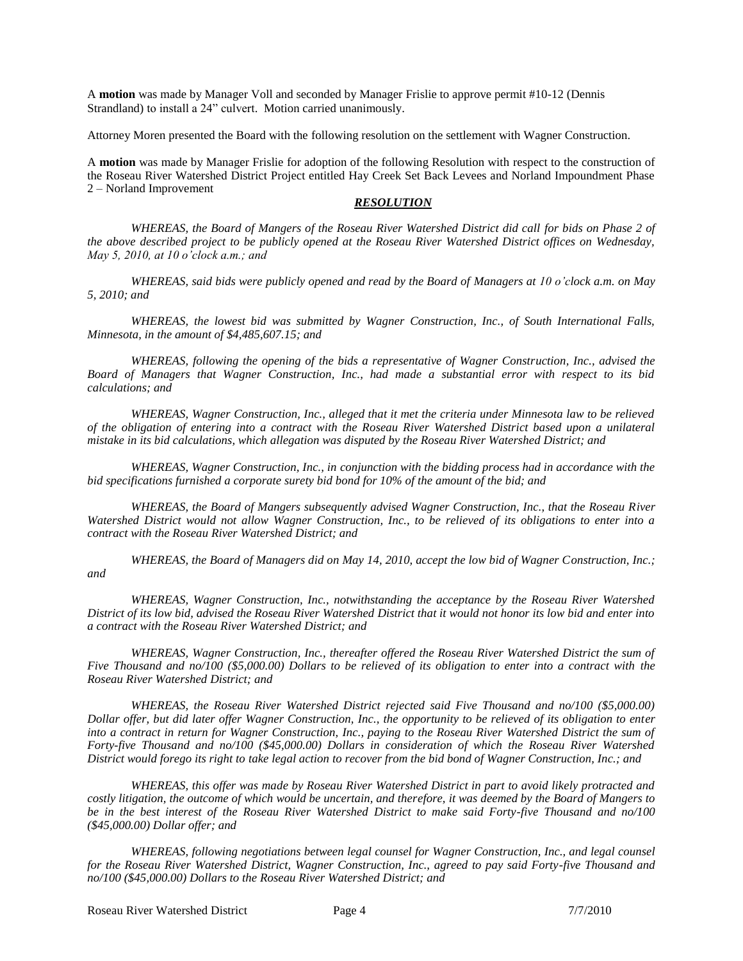A **motion** was made by Manager Voll and seconded by Manager Frislie to approve permit #10-12 (Dennis Strandland) to install a 24" culvert. Motion carried unanimously.

Attorney Moren presented the Board with the following resolution on the settlement with Wagner Construction.

A **motion** was made by Manager Frislie for adoption of the following Resolution with respect to the construction of the Roseau River Watershed District Project entitled Hay Creek Set Back Levees and Norland Impoundment Phase 2 – Norland Improvement

### *RESOLUTION*

*WHEREAS, the Board of Mangers of the Roseau River Watershed District did call for bids on Phase 2 of the above described project to be publicly opened at the Roseau River Watershed District offices on Wednesday, May 5, 2010, at 10 o'clock a.m.; and*

*WHEREAS, said bids were publicly opened and read by the Board of Managers at 10 o'clock a.m. on May 5, 2010; and* 

*WHEREAS, the lowest bid was submitted by Wagner Construction, Inc., of South International Falls, Minnesota, in the amount of \$4,485,607.15; and*

*WHEREAS, following the opening of the bids a representative of Wagner Construction, Inc., advised the Board of Managers that Wagner Construction, Inc., had made a substantial error with respect to its bid calculations; and*

*WHEREAS, Wagner Construction, Inc., alleged that it met the criteria under Minnesota law to be relieved of the obligation of entering into a contract with the Roseau River Watershed District based upon a unilateral mistake in its bid calculations, which allegation was disputed by the Roseau River Watershed District; and*

*WHEREAS, Wagner Construction, Inc., in conjunction with the bidding process had in accordance with the bid specifications furnished a corporate surety bid bond for 10% of the amount of the bid; and*

*WHEREAS, the Board of Mangers subsequently advised Wagner Construction, Inc., that the Roseau River Watershed District would not allow Wagner Construction, Inc., to be relieved of its obligations to enter into a contract with the Roseau River Watershed District; and*

*WHEREAS, the Board of Managers did on May 14, 2010, accept the low bid of Wagner Construction, Inc.; and*

*WHEREAS, Wagner Construction, Inc., notwithstanding the acceptance by the Roseau River Watershed District of its low bid, advised the Roseau River Watershed District that it would not honor its low bid and enter into a contract with the Roseau River Watershed District; and* 

*WHEREAS, Wagner Construction, Inc., thereafter offered the Roseau River Watershed District the sum of Five Thousand and no/100 (\$5,000.00) Dollars to be relieved of its obligation to enter into a contract with the Roseau River Watershed District; and*

*WHEREAS, the Roseau River Watershed District rejected said Five Thousand and no/100 (\$5,000.00) Dollar offer, but did later offer Wagner Construction, Inc., the opportunity to be relieved of its obligation to enter into a contract in return for Wagner Construction, Inc., paying to the Roseau River Watershed District the sum of Forty-five Thousand and no/100 (\$45,000.00) Dollars in consideration of which the Roseau River Watershed District would forego its right to take legal action to recover from the bid bond of Wagner Construction, Inc.; and* 

*WHEREAS, this offer was made by Roseau River Watershed District in part to avoid likely protracted and costly litigation, the outcome of which would be uncertain, and therefore, it was deemed by the Board of Mangers to be in the best interest of the Roseau River Watershed District to make said Forty-five Thousand and no/100 (\$45,000.00) Dollar offer; and*

*WHEREAS, following negotiations between legal counsel for Wagner Construction, Inc., and legal counsel for the Roseau River Watershed District, Wagner Construction, Inc., agreed to pay said Forty-five Thousand and no/100 (\$45,000.00) Dollars to the Roseau River Watershed District; and*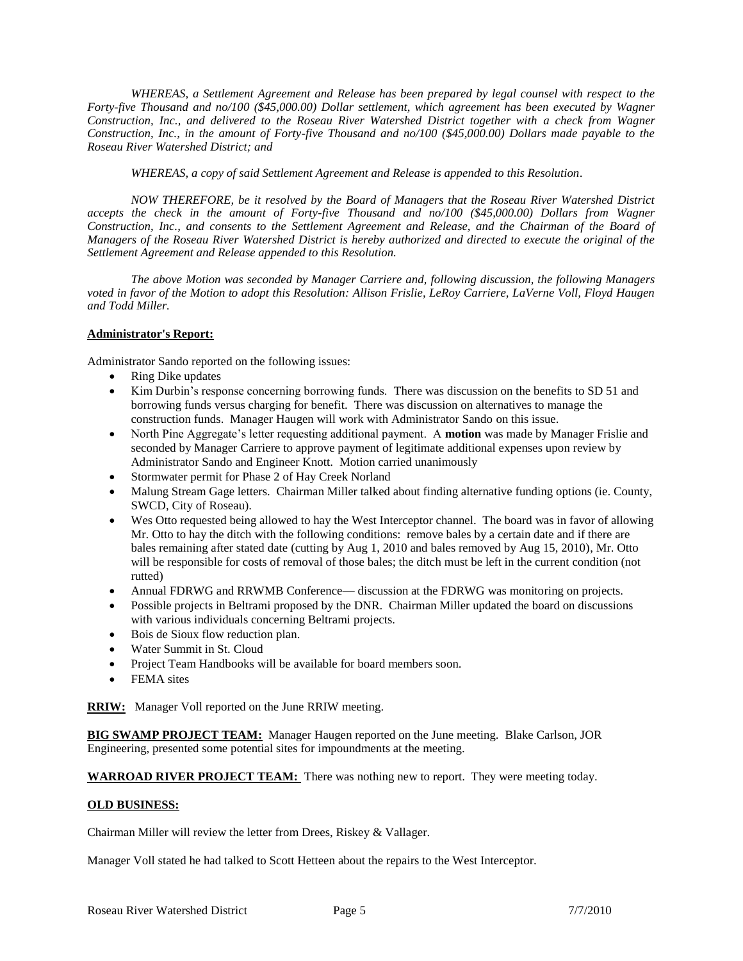*WHEREAS, a Settlement Agreement and Release has been prepared by legal counsel with respect to the Forty-five Thousand and no/100 (\$45,000.00) Dollar settlement, which agreement has been executed by Wagner Construction, Inc., and delivered to the Roseau River Watershed District together with a check from Wagner Construction, Inc., in the amount of Forty-five Thousand and no/100 (\$45,000.00) Dollars made payable to the Roseau River Watershed District; and*

*WHEREAS, a copy of said Settlement Agreement and Release is appended to this Resolution.*

*NOW THEREFORE, be it resolved by the Board of Managers that the Roseau River Watershed District accepts the check in the amount of Forty-five Thousand and no/100 (\$45,000.00) Dollars from Wagner Construction, Inc., and consents to the Settlement Agreement and Release, and the Chairman of the Board of Managers of the Roseau River Watershed District is hereby authorized and directed to execute the original of the Settlement Agreement and Release appended to this Resolution.*

*The above Motion was seconded by Manager Carriere and, following discussion, the following Managers voted in favor of the Motion to adopt this Resolution: Allison Frislie, LeRoy Carriere, LaVerne Voll, Floyd Haugen and Todd Miller.*

# **Administrator's Report:**

Administrator Sando reported on the following issues:

- Ring Dike updates
- Kim Durbin's response concerning borrowing funds. There was discussion on the benefits to SD 51 and borrowing funds versus charging for benefit. There was discussion on alternatives to manage the construction funds. Manager Haugen will work with Administrator Sando on this issue.
- North Pine Aggregate's letter requesting additional payment. A **motion** was made by Manager Frislie and seconded by Manager Carriere to approve payment of legitimate additional expenses upon review by Administrator Sando and Engineer Knott. Motion carried unanimously
- Stormwater permit for Phase 2 of Hay Creek Norland
- Malung Stream Gage letters. Chairman Miller talked about finding alternative funding options (ie. County, SWCD, City of Roseau).
- Wes Otto requested being allowed to hay the West Interceptor channel. The board was in favor of allowing Mr. Otto to hay the ditch with the following conditions: remove bales by a certain date and if there are bales remaining after stated date (cutting by Aug 1, 2010 and bales removed by Aug 15, 2010), Mr. Otto will be responsible for costs of removal of those bales; the ditch must be left in the current condition (not rutted)
- Annual FDRWG and RRWMB Conference— discussion at the FDRWG was monitoring on projects.
- Possible projects in Beltrami proposed by the DNR. Chairman Miller updated the board on discussions with various individuals concerning Beltrami projects.
- Bois de Sioux flow reduction plan.
- Water Summit in St. Cloud
- Project Team Handbooks will be available for board members soon.
- FEMA sites

**RRIW:** Manager Voll reported on the June RRIW meeting.

**BIG SWAMP PROJECT TEAM:** Manager Haugen reported on the June meeting. Blake Carlson, JOR Engineering, presented some potential sites for impoundments at the meeting.

**WARROAD RIVER PROJECT TEAM:** There was nothing new to report. They were meeting today.

#### **OLD BUSINESS:**

Chairman Miller will review the letter from Drees, Riskey & Vallager.

Manager Voll stated he had talked to Scott Hetteen about the repairs to the West Interceptor.